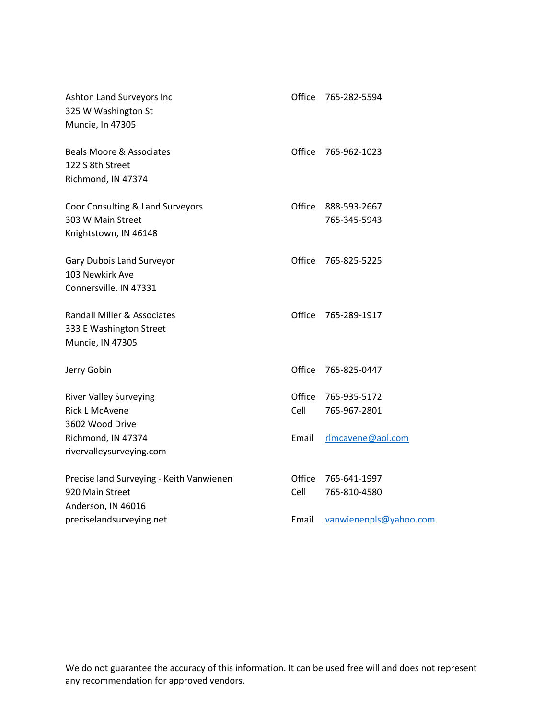| Ashton Land Surveyors Inc<br>325 W Washington St<br>Muncie, In 47305              | Office         | 765-282-5594                 |
|-----------------------------------------------------------------------------------|----------------|------------------------------|
| <b>Beals Moore &amp; Associates</b><br>122 S 8th Street<br>Richmond, IN 47374     | Office         | 765-962-1023                 |
| Coor Consulting & Land Surveyors<br>303 W Main Street<br>Knightstown, IN 46148    | Office         | 888-593-2667<br>765-345-5943 |
| Gary Dubois Land Surveyor<br>103 Newkirk Ave<br>Connersville, IN 47331            | Office         | 765-825-5225                 |
| Randall Miller & Associates<br>333 E Washington Street<br>Muncie, IN 47305        | Office         | 765-289-1917                 |
| Jerry Gobin                                                                       | Office         | 765-825-0447                 |
| <b>River Valley Surveying</b><br><b>Rick L McAvene</b><br>3602 Wood Drive         | Office<br>Cell | 765-935-5172<br>765-967-2801 |
| Richmond, IN 47374<br>rivervalleysurveying.com                                    | Email          | rlmcavene@aol.com            |
| Precise land Surveying - Keith Vanwienen<br>920 Main Street<br>Anderson, IN 46016 | Office<br>Cell | 765-641-1997<br>765-810-4580 |
| preciselandsurveying.net                                                          | Email          | vanwienenpls@yahoo.com       |

We do not guarantee the accuracy of this information. It can be used free will and does not represent any recommendation for approved vendors.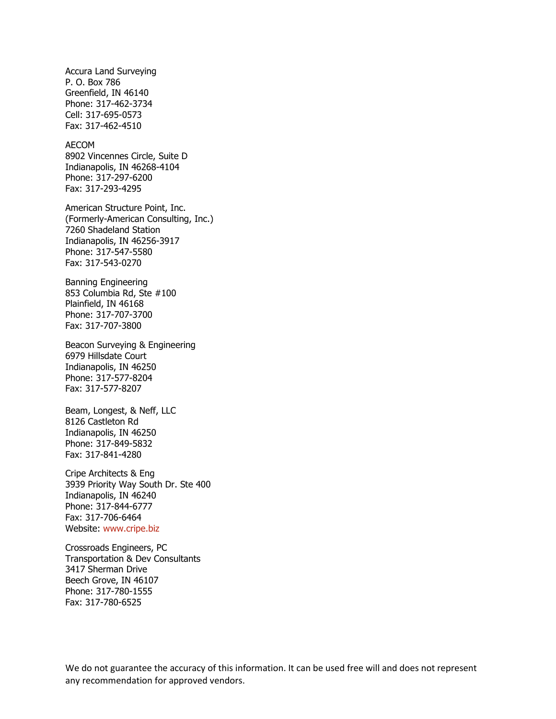Accura Land Surveying P. O. Box 786 Greenfield, IN 46140 Phone: 317-462-3734 Cell: 317-695-0573 Fax: 317-462-4510

AECOM 8902 Vincennes Circle, Suite D Indianapolis, IN 46268-4104 Phone: 317-297-6200 Fax: 317-293-4295

American Structure Point, Inc. (Formerly-American Consulting, Inc.) 7260 Shadeland Station Indianapolis, IN 46256-3917 Phone: 317-547-5580 Fax: 317-543-0270

Banning Engineering 853 Columbia Rd, Ste #100 Plainfield, IN 46168 Phone: 317-707-3700 Fax: 317-707-3800

Beacon Surveying & Engineering 6979 Hillsdate Court Indianapolis, IN 46250 Phone: 317-577-8204 Fax: 317-577-8207

Beam, Longest, & Neff, LLC 8126 Castleton Rd Indianapolis, IN 46250 Phone: 317-849-5832 Fax: 317-841-4280

Cripe Architects & Eng 3939 Priority Way South Dr. Ste 400 Indianapolis, IN 46240 Phone: 317-844-6777 Fax: 317-706-6464 Website: [www.cripe.biz](http://www.cripe.biz/)

Crossroads Engineers, PC Transportation & Dev Consultants 3417 Sherman Drive Beech Grove, IN 46107 Phone: 317-780-1555 Fax: 317-780-6525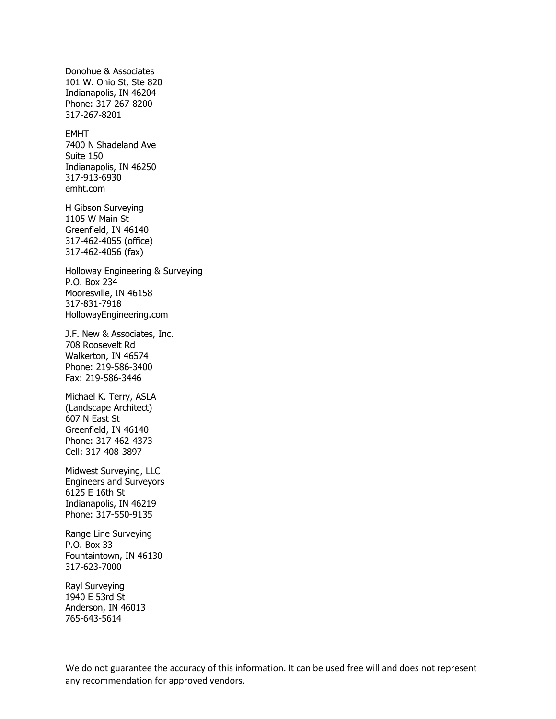Donohue & Associates 101 W. Ohio St, Ste 820 Indianapolis, IN 46204 Phone: 317-267-8200 317-267-8201

EMHT 7400 N Shadeland Ave Suite 150 Indianapolis, IN 46250 317-913-6930 emht.com

H Gibson Surveying 1105 W Main St Greenfield, IN 46140 317-462-4055 (office) 317-462-4056 (fax)

Holloway Engineering & Surveying P.O. Box 234 Mooresville, IN 46158 317-831-7918 HollowayEngineering.com

J.F. New & Associates, Inc. 708 Roosevelt Rd Walkerton, IN 46574 Phone: 219-586-3400 Fax: 219-586-3446

Michael K. Terry, ASLA (Landscape Architect) 607 N East St Greenfield, IN 46140 Phone: 317-462-4373 Cell: 317-408-3897

Midwest Surveying, LLC Engineers and Surveyors 6125 E 16th St Indianapolis, IN 46219 Phone: 317-550-9135

Range Line Surveying P.O. Box 33 Fountaintown, IN 46130 317-623-7000

Rayl Surveying 1940 E 53rd St Anderson, IN 46013 765-643-5614

We do not guarantee the accuracy of this information. It can be used free will and does not represent any recommendation for approved vendors.